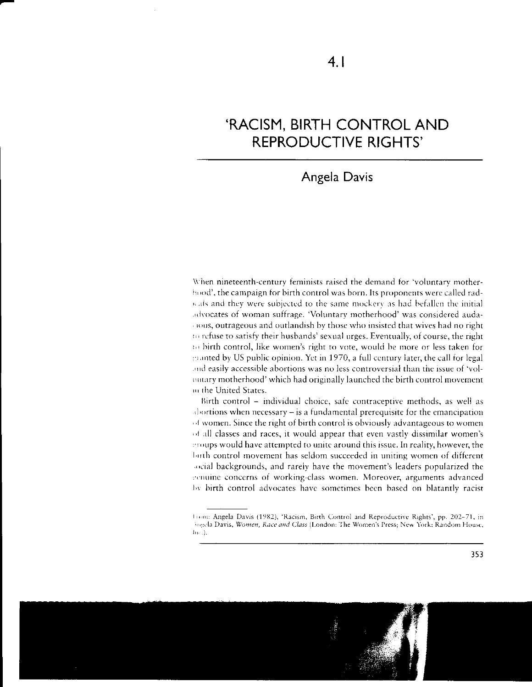## 'RACISM, BIRTH CONTROL AND **REPRODUCTIVE RIGHTS'**

## Angela Davis

When nineteenth-century feminists raised the demand for 'voluntary motherhood', the campaign for birth control was born. Its proponents were called radwals and they were subjected to the same mockery as had befallen the initial advocates of woman suffrage. 'Voluntary motherhood' was considered audacious, outrageous and outlandish by those who insisted that wives had no right to refuse to satisfy their husbands' sexual urges. Eventually, of course, the right to birth control, like women's right to vote, would be more or less taken for granted by US public opinion. Yet in 1970, a full century later, the call for legal and easily accessible abortions was no less controversial than the issue of 'voluntary motherhood' which had originally launched the birth control movement in the United States.

Birth control – individual choice, safe contraceptive methods, as well as abortions when necessary  $-$  is a fundamental prerequisite for the emancipation of women. Since the right of birth control is obviously advantageous to women of all classes and races, it would appear that even vastly dissimilar women's groups would have attempted to unite around this issue. In reality, however, the birth control movement has seldom succeeded in uniting women of different social backgrounds, and rarely have the movement's leaders popularized the genuine concerns of working-class women. Moreover, arguments advanced by birth control advocates have sometimes been based on blatantly racist

From: Angela Davis (1982), 'Racism, Birth Control and Reproductive Rights', pp. 202-71, in Angela Davis, Women, Race and Class (London: The Women's Press; New York: Random House,  $\ln(1)$ .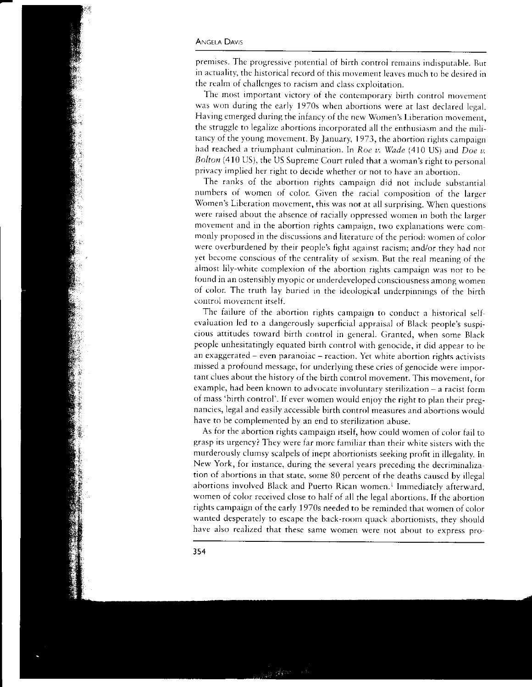premises. The progressive potential of birth control remains indisputable. But in actuality, the historical record of this movement leaves much to be desired in the realm of challenges to racism and class exploitation.

The most important victory of the contemporary birth control movement was won during the early 1970s when abortions were at last declared legal. Having emerged during the infancy of the new Women's Liberation movement, the struggle to legalize abortions incorporated all the enthusiasm and the militancy of the young movement. By January, 1973, the abortion rights campaign had reached a triumphant culmination. In Roe v. Wade (410 US) and Doe v. Bolton (410 US), the US Supreme Court ruled that a woman's right to personal privacy implied her right to decide whether or not to have an abortion.

The ranks of the abortion rights campaign did not include substantial numbers of women of color. Given the racial composition of the larger Women's Liberation movement, this was not at all surprising. When questions were raised about the absence of racially oppressed women in both the larger movement and in the abortion rights campaign, two explanations were commonly proposed in the discussions and literature of the period: women of color were overburdened by their people's fight against racism; and/or they had not yet become conscious of the centrality of sexism. But the real meaning of the almost lily-white complexion of the abortion rights campaign was not to be found in an ostensibly myopic or underdeveloped consciousness among women of color. The truth lay buried in the ideological underpinnings of the birth control movement itself.

The failure of the abortion rights campaign to conduct a historical selfevaluation led to a dangerously superficial appraisal of Black people's suspicious attitudes toward birth control in general. Granted, when some Black people unhesitatingly equated birth control with genocide, it did appear to be an exaggerated - even paranoiac - reaction. Yet white abortion rights activists missed a profound message, for underlying these cries of genocide were important clues about the history of the birth control movement. This movement, for example, had been known to advocate involuntary sterilization - a racist form of mass 'birth control'. If ever women would enjoy the right to plan their pregnancies, legal and easily accessible birth control measures and abortions would have to be complemented by an end to sterilization abuse.

As for the abortion rights campaign itself, how could women of color fail to grasp its urgency? They were far more familiar than their white sisters with the murderously clumsy scalpels of inept abortionists seeking profit in illegality. In New York, for instance, during the several years preceding the decriminalization of abortions in that state, some 80 percent of the deaths caused by illegal abortions involved Black and Puerto Rican women.<sup>1</sup> Immediately afterward, women of color received close to half of all the legal abortions. If the abortion rights campaign of the early 1970s needed to be reminded that women of color wanted desperately to escape the back-room quack abortionists, they should have also realized that these same women were not about to express pro-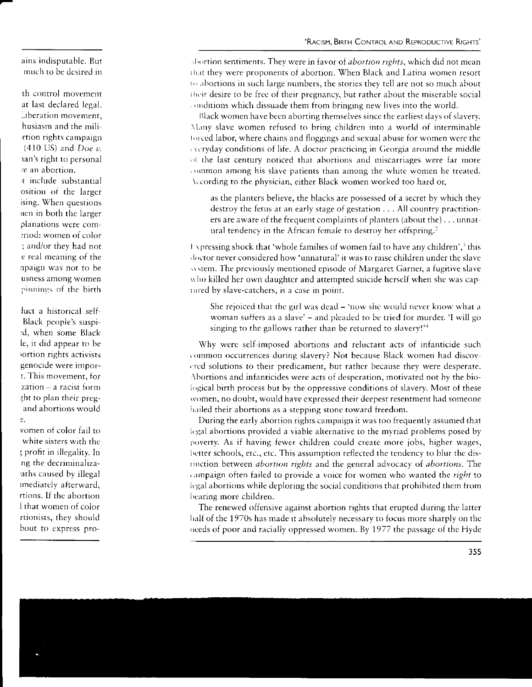abortion sentiments. They were in favor of *abortion rights*, which did not mean that they were proponents of abortion. When Black and Latina women resort to abortions in such large numbers, the stories they tell are not so much about their desire to be free of their pregnancy, but rather about the miserable social conditions which dissuade them from bringing new lives into the world.

Black women have been aborting themselves since the earliest days of slavery. Many slave women refused to bring children into a world of interminable forced labor, where chains and floggings and sexual abuse for women were the everyday conditions of life. A doctor practicing in Georgia around the middle of the last century noticed that abortions and miscarriages were far more common among his slave patients than among the white women he treated. According to the physician, either Black women worked too hard or,

as the planters believe, the blacks are possessed of a secret by which they destroy the fetus at an early stage of gestation . . . All country practitioners are aware of the frequent complaints of planters (about the)...unnatural tendency in the African female to destroy her offspring.<sup>2</sup>

University shock that 'whole families of women fail to have any children',<sup>3</sup> this doctor never considered how 'unnatural' it was to raise children under the slave system. The previously mentioned episode of Margaret Garner, a fugitive slave who killed her own daughter and attempted suicide herself when she was captured by slave-catchers, is a case in point.

She rejoiced that the girl was dead – 'now she would never know what a woman suffers as a slave' - and pleaded to be tried for murder. 'I will go singing to the gallows rather than be returned to slavery!'<sup>4</sup>

Why were self-imposed abortions and reluctant acts of infanticide such common occurrences during slavery? Not because Black women had discovcred solutions to their predicament, but rather because they were desperate. Abortions and infanticides were acts of desperation, motivated not by the biological birth process but by the oppressive conditions of slavery. Most of these women, no doubt, would have expressed their deepest resentment had someone hailed their abortions as a stepping stone toward freedom.

During the early abortion rights campaign it was too frequently assumed that legal abortions provided a viable alternative to the myriad problems posed by poverty. As if having fewer children could create more jobs, higher wages, better schools, etc., etc. This assumption reflected the tendency to blur the disunction between *abortion rights* and the general advocacy of *abortions*. The campaign often failed to provide a voice for women who wanted the right to legal abortions while deploring the social conditions that prohibited them from bearing more children.

The renewed offensive against abortion rights that erupted during the latter half of the 1970s has made it absolutely necessary to focus more sharply on the needs of poor and racially oppressed women. By 1977 the passage of the Hyde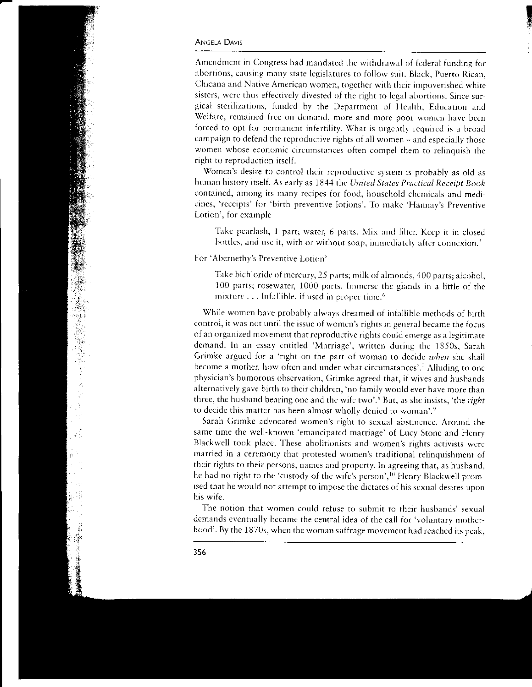Amendment in Congress had mandated the withdrawal of federal funding for abortions, causing many state legislatures to follow suit. Black, Puerto Rican, Chicana and Native American women, together with their impoverished white sisters, were thus effectively divested of the right to legal abortions. Since surgical sterilizations, funded by the Department of Health, Education and Welfare, remained free on demand, more and more poor women have been forced to opt for permanent infertility. What is urgently required is a broad campaign to defend the reproductive rights of all women - and especially those women whose economic circumstances often compel them to relinquish the right to reproduction itself.

Women's desire to control their reproductive system is probably as old as human history itself. As early as 1844 the United States Practical Receipt Book contained, among its many recipes for food, household chemicals and medicines, 'receipts' for 'birth preventive lotions'. To make 'Hannay's Preventive Lotion', for example

Take pearlash, 1 part; water, 6 parts. Mix and filter. Keep it in closed bottles, and use it, with or without soap, immediately after connexion.<sup>5</sup>

For 'Abernethy's Preventive Lotion'

Take bichloride of mercury, 25 parts; milk of almonds, 400 parts; alcohol, 100 parts; rosewater, 1000 parts. Immerse the glands in a little of the mixture . . . Infallible, if used in proper time.<sup>6</sup>

While women have probably always dreamed of infallible methods of birth control, it was not until the issue of women's rights in general became the focus of an organized movement that reproductive rights could emerge as a legitimate demand. In an essay entitled 'Marriage', written during the 1850s, Sarah Grimke argued for a 'right on the part of woman to decide when she shall become a mother, how often and under what circumstances'.<sup>7</sup> Alluding to one physician's humorous observation, Grimke agreed that, if wives and husbands alternatively gave birth to their children, 'no family would ever have more than three, the husband bearing one and the wife two'.<sup>8</sup> But, as she insists, 'the *right* to decide this matter has been almost wholly denied to woman'.9

Sarah Grimke advocated women's right to sexual abstinence. Around the same time the well-known 'emancipated marriage' of Lucy Stone and Henry Blackwell took place. These abolitionists and women's rights activists were married in a ceremony that protested women's traditional relinquishment of their rights to their persons, names and property. In agreeing that, as husband, he had no right to the 'custody of the wife's person',<sup>10</sup> Henry Blackwell promised that he would not attempt to impose the dictates of his sexual desires upon his wife.

The notion that women could refuse to submit to their husbands' sexual demands eventually became the central idea of the call for 'voluntary motherhood'. By the 1870s, when the woman suffrage movement had reached its peak,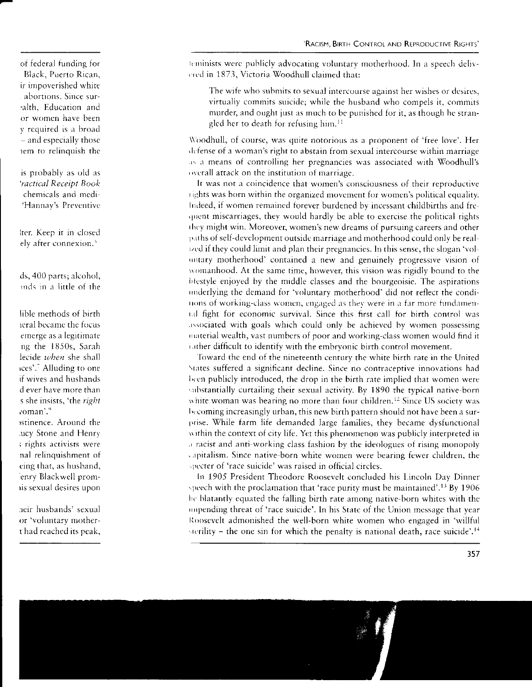teminists were publicly advocating voluntary motherhood. In a speech delivered in 1873. Victoria Woodhull claimed that:

The wife who submits to sexual intercourse against her wishes or desires, virtually commits suicide; while the husband who compels it, commits murder, and ought just as much to be punished for it, as though he strangled her to death for refusing him.<sup>11</sup>

Woodhull, of course, was quite notorious as a proponent of 'free love'. Her defense of a woman's right to abstain from sexual intercourse within marriage as a means of controlling her pregnancies was associated with Woodhull's overall attack on the institution of marriage.

It was not a coincidence that women's consciousness of their reproductive rights was born within the organized movement for women's political equality. Indeed, if women remained forever burdened by incessant childbirths and frequent miscarriages, they would hardly be able to exercise the political rights they might win. Moreover, women's new dreams of pursuing careers and other paths of self-development outside marriage and motherhood could only be realtzed if they could limit and plan their pregnancies. In this sense, the slogan 'voluntary motherhood' contained a new and genuinely progressive vision of womanhood. At the same time, however, this vision was rigidly bound to the litestyle enjoyed by the middle classes and the bourgeoisie. The aspirations underlying the demand for 'voluntary motherhood' did not reflect the conditions of working-class women, engaged as they were in a far more fundamental fight for economic survival. Since this first call for birth control was associated with goals which could only be achieved by women possessing material wealth, vast numbers of poor and working-class women would find it rather difficult to identify with the embryonic birth control movement.

Toward the end of the nineteenth century the white birth rate in the United States suffered a significant decline. Since no contraceptive innovations had been publicly introduced, the drop in the birth rate implied that women were substantially curtailing their sexual activity. By 1890 the typical native-born white woman was bearing no more than four children.<sup>12</sup> Since US society was becoming increasingly urban, this new birth pattern should not have been a surprise. While farm life demanded large families, they became dysfunctional within the context of city life. Yet this phenomenon was publicly interpreted in a racist and anti-working class fashion by the ideologues of rising monopoly capitalism. Since native-born white women were bearing fewer children, the specter of 'race suicide' was raised in official circles.

In 1905 President Theodore Roosevelt concluded his Lincoln Day Dinner speech with the proclamation that 'race purity must be maintained'.<sup>13</sup> By 1906 he blatantly equated the falling birth rate among native-born whites with the impending threat of 'race suicide'. In his State of the Union message that year Roosevelt admonished the well-born white women who engaged in 'willful sterility – the one sin for which the penalty is national death, race suicide'.<sup>14</sup>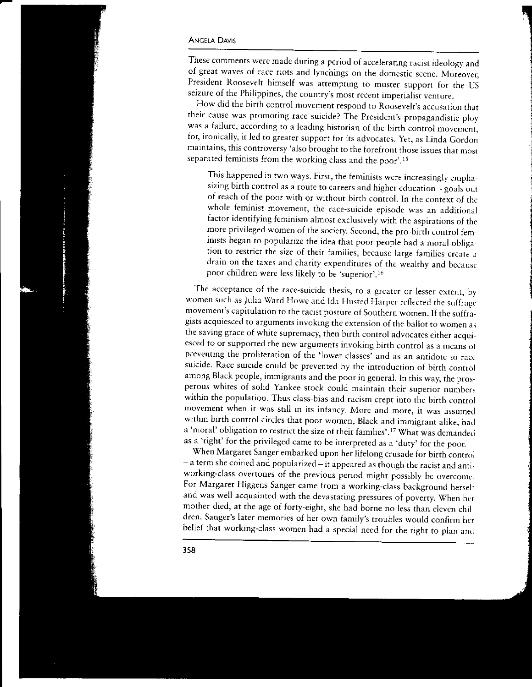These comments were made during a period of accelerating racist ideology and of great waves of race riots and lynchings on the domestic scene. Moreovet President Roosevelt himself was attempting to muster support for the US seizure of the Philippines, the country's most recent imperialist venture.

1

How did the birth control movement respond to Roosevelt's accusation that their cause was promoting race suicide? The President's propagandistic ploy was a failure, according to a leading historian of the birth control movement, for, ironically, it led to greater support for its advocates. yet, as Linda Gordon maintains, this controversy 'also brought to the forefront those issues that most separated feminists from the working class and the poor'.<sup>15</sup>

This happened in rwo ways. First, the feminists were increasingly empha sizing birth control as a route to careers and higher education - goals out of reach of the poor with or without birth control. In the context of the whole feminist movement, the race-suicide episode was an additional factor identifying feminism almost exclusively wirh the aspirations of the more privileged women of the sociery. Second, rhe pro birih control feminists began to popularize the idea that poor people had a moral obligation to restrict the size of their families, because large families create a drain on the taxes and charity expenditures of the wealthy and because poor children were less likely to be 'superior'.<sup>16</sup>

The acceptance of the race-suicide thesis, to a greater or lesser extent, by women such as Julia Ward Howe and Ida Husted Harper reflected the suffrage movement's capitulation to the racist posture of Southern women. lf the suffra\_ gists acquiesced to arguments invoking the extension of the ballot to women as the saving grace of white supremacy, then birth control advocates either acqui\_ esced to or supported the new arguments invoking birth control as a means ol preventing the proliferation of the 'lower classes' and as an antidote to racc suicide. Race suicide could be prevented by the introducion of birth control among Black people, immigrants and the poor in general. In this way, the prosperous whites of solid Yankee stock could maintain their superior numbers within the population. Thus class-bias and racism crept into the birth control movement when it was still in its infancy. More and more, it was assumed within birth control circles that poor women, Black and immigrant alike, had a 'moral' obligation to restrict the size of their families'.<sup>17</sup> What was demanded as a 'right' for the privileged came to be interpreted as a 'duty' for the poor.

When Margaret Sanger embarked upon her Iifelong crusade for birth control - a term she coined and popularized - it appeared as though the racist and antiworking-class overtones of the previous period might possibly be overcome. For Margaret Higgens Sanger came from a working-class background hersell and was well acquainted with the devastating pressures of poverty. When her mother died, ar the age of forty-eight, she had borne no less than eleven chil dren. Sanger's later memories of her own family's troubles would confirm hcr belief that working-class women had a special need for the right to plan and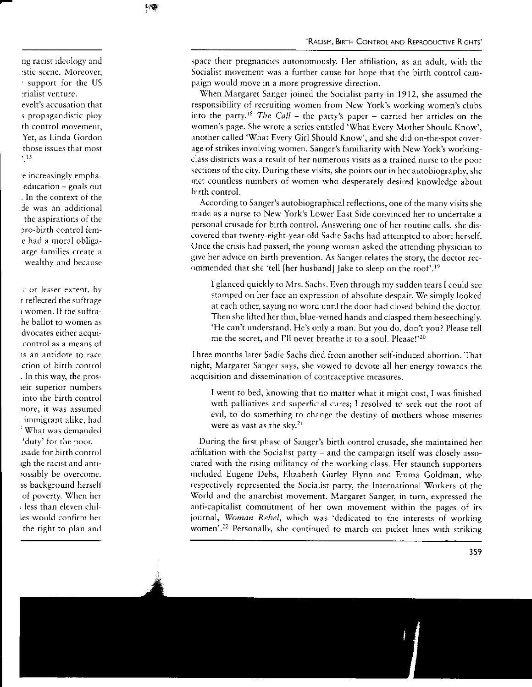space their pregnancies autonomously. Her affiliation, as an adult, with the Socialist movement was a further cause for hope that the birth control campaign would moye in a more progressive direction.

\?hen Margaret Sanger joined the Socialist party in 1912, she assumed the responsibility of recruiting women from New York's working women's clubs into the party.<sup>18</sup> The Call - the party's paper - carried her articles on the women's page. She wrote a series entitled'What Every Mother Should Know', another called 'What Every Girl Should Know', and she did on-the-spot coverage of strikes involving women. Sanger's familiarity with New York's workingclass districts was a result of her numerous visits as a trained nurse to the poor sections of the city. During these visits, she points out in her autobiography, she met countless numbers of women who desperately desired knowledge about birth control.

According to Sanger's autobiographical reflections, one of the many visits she made as a nurse to New York's Lower East Side convinced her to undertake a personal crusade for birth control. Answering one of her routine calls, she discovered that twenty-eight-year-old Sadie Sachs had atrempred to abort herself. Once the crisis had passed, the young woman asked the attending physician to give her advice on birth prevention. As Sanger relates the story, the doctor recommended that she 'tell [her husband] Jake to sleep on the roof'.<sup>19</sup>

I glanccd quickly to Mrs. Sachs. Even through my sudden tears I could see stamped on her face an expression of absolute despair. We simply looked at each other, saying no word until the door had closed behind the doctor. Then she lifted her thin, blue veined hands and clasped them beseechingly. 'He can't understand. He's only a man. But you do, don't you? Please tell me the secret, and I'll never breathe it to a soul. Please!'<sup>20</sup>

Three months later Sadie Sachs died from another self-induced abortion. That night, Margaret Sanger says, she vowed to devote all her energy towards rhe acquisition and dissemination of contraceptive mcasures.

I went to bed, knowing that no matter what it might cost, I was finished with palliatives and superficial cures; I resolved to seek out the root of evil, to do something to change the destiny of mothers whose miseries were as vast as the sky. $21$ 

During the first phase of Sanger's birrh control crusade, she maintained her affiliation with the Socialist party  $-$  and the campaign itself was closely associated with the rising militancy of the working class. Her staunch supporters included Eugene Debs, Elizabeth Gurley Flynn and Emma Goldman, who respectively represented the Socialist party, the International Workers of the World and the anarchist movement. Margaret Sanger, in turn, expressed the anti-capitalist commitment of her own movement within the pages of its journal, Woman Rebel, which was 'dedicated to the interests of working women'.<sup>22</sup> Personally, she continued to march on picket lines with striking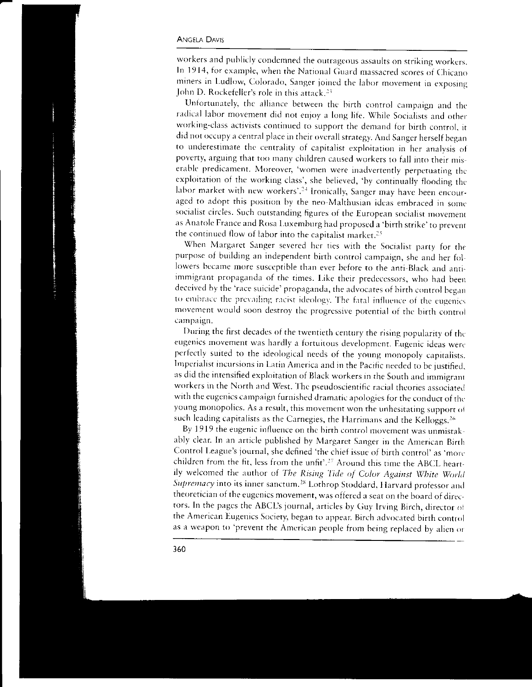workers and publicly condemned the outrageous assaults on striking workers. In 1914, for example, when the National Guard massacred scores of Chicano miners in Ludlow, Colorado, Sanger joined the labor movement in exposing John D. Rockefeller's role in this attack.<sup>23</sup>

Unfortunately, the alliance between the birth control campaign and the radical labor movement did not enjoy a long life. While Socialists and other working-class activists continued to support the demand for birth control, it did not occupy a central place in their overall strategy. And Sanger herself began to underestimate the centrality of capitalist exploitation in her analysis of poverty, arguing that too many children caused workers to fall into their miserable predicament. Moreover, 'women were inadvertently perpetuating the exploitation of the working class', she believed, 'by continually flooding the labor market with new workers'.<sup>24</sup> Ironically, Sanger may have been encouraged to adopt this position by the neo-Malthusian ideas embraced in some socialist circles. Such outstanding figures of the European socialist movement as Anatole France and Rosa Luxemburg had proposed a 'birth strike' to prevent the continued flow of labor into the capitalist market.<sup>25</sup>

When Margaret Sanger severed her ties with the Socialist party for the purpose of building an independent birth control campaign, she and her followers became more susceptible than ever before to the anti-Black and antiimmigrant propaganda of the times. Like their predecessors, who had been deceived by the 'race suicide' propaganda, the advocates of birth control began to embrace the prevailing racist ideology. The fatal influence of the eugenics movement would soon destroy the progressive potential of the birth control campaign.

During the first decades of the twentieth century the rising popularity of the eugenics movement was hardly a fortuitous development. Eugenic ideas were perfectly suited to the ideological needs of the young monopoly capitalists. Imperialist incursions in Latin America and in the Pacific needed to be justified, as did the intensified exploitation of Black workers in the South and immigrant workers in the North and West. The pseudoscientific racial theories associated with the eugenics campaign furnished dramatic apologies for the conduct of the young monopolies. As a result, this movement won the unhesitating support of such leading capitalists as the Carnegies, the Harrimans and the Kelloggs.<sup>26</sup>

By 1919 the eugenic influence on the birth control movement was unmistakably clear. In an article published by Margaret Sanger in the American Birth Control League's journal, she defined 'the chief issue of birth control' as 'more children from the fit, less from the unfit'.<sup>27</sup> Around this time the ABCL heartily welcomed the author of The Rising Tide of Color Against White World Supremacy into its inner sanctum.<sup>28</sup> Lothrop Stoddard, Harvard professor and theoretician of the eugenics movement, was offered a seat on the board of directors. In the pages the ABCL's journal, articles by Guy Irving Birch, director of the American Eugenics Society, began to appear. Birch advocated birth control as a weapon to 'prevent the American people from being replaced by alien or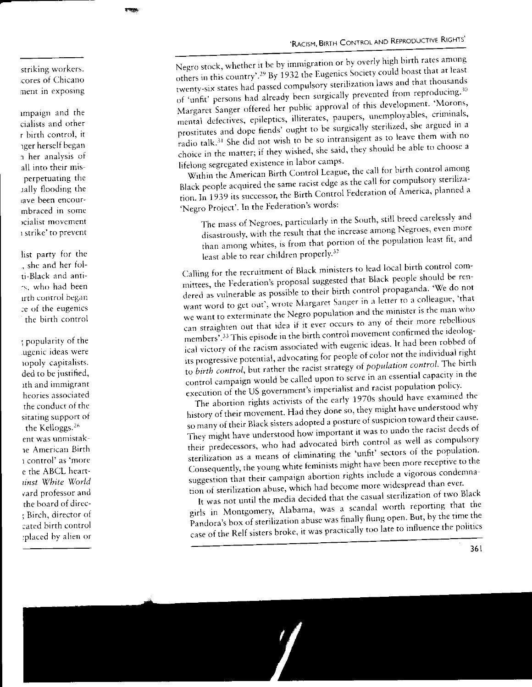Negro stock, whether it be by immigration or by overly high birth rates among others in this country'.<sup>29</sup> By 1932 the Eugenics Society could boast that at least twenty-six states had passed compulsory sterilization laws and that thousands of 'unfit' persons had already been surgically prevented from reproducing.<sup>30</sup> Margaret Sanger offered her public approval of this development. 'Morons, mental defectives, epileptics, illiterates, paupers, unemployables, criminals, prostitutes and dope fiends' ought to be surgically sterilized, she argued in a radio talk.<sup>31</sup> She did not wish to be so intransigent as to leave them with no choice in the matter; if they wished, she said, they should be able to choose a lifelong segregated existence in labor camps.

Within the American Birth Control League, the call for birth control among Black people acquired the same racist edge as the call for compulsory sterilization. In 1939 its successor, the Birth Control Federation of America, planned a 'Negro Project'. In the Federation's words:

The mass of Negroes, particularly in the South, still breed carelessly and disastrously, with the result that the increase among Negroes, even more than among whites, is from that portion of the population least fit, and least able to rear children properly.<sup>32</sup>

Calling for the recruitment of Black ministers to lead local birth control committees, the Federation's proposal suggested that Black people should be rendered as vulnerable as possible to their birth control propaganda. 'We do not want word to get out', wrote Margaret Sanger in a letter to a colleague, 'that we want to exterminate the Negro population and the minister is the man who can straighten out that idea if it ever occurs to any of their more rebellious members<sup>2</sup>,<sup>33</sup> This episode in the birth control movement confirmed the ideological victory of the racism associated with eugenic ideas. It had been robbed of its progressive potential, advocating for people of color not the individual right to birth control, but rather the racist strategy of population control. The birth control campaign would be called upon to serve in an essential capacity in the execution of the US government's imperialist and racist population policy.

The abortion rights activists of the early 1970s should have examined the history of their movement. Had they done so, they might have understood why so many of their Black sisters adopted a posture of suspicion toward their cause. They might have understood how important it was to undo the racist deeds of their predecessors, who had advocated birth control as well as compulsory sterilization as a means of eliminating the 'unfit' sectors of the population. Consequently, the young white feminists might have been more receptive to the suggestion that their campaign abortion rights include a vigorous condemnation of sterilization abuse, which had become more widespread than ever.

It was not until the media decided that the casual sterilization of two Black girls in Montgomery, Alabama, was a scandal worth reporting that the Pandora's box of sterilization abuse was finally flung open. But, by the time the case of the Relf sisters broke, it was practically too late to influence the politics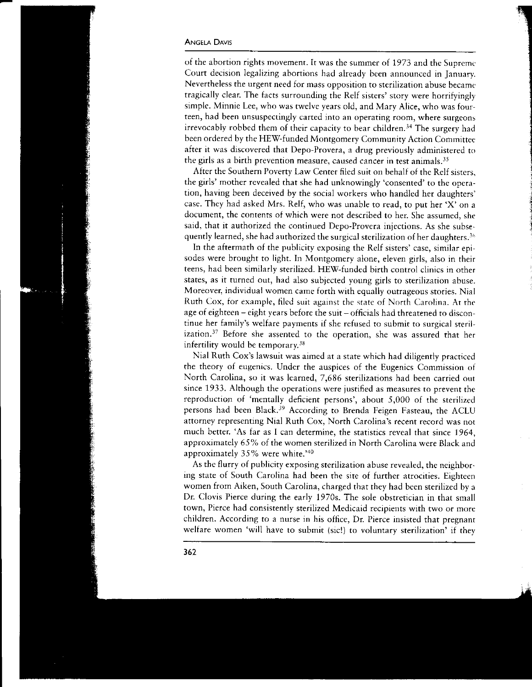of the abortion rights movement. It was the summer of 1973 and the Supreme Court decision legalizing abortions had already been announced in January. Neyertheless the urgent need for mass opposition to sterilization abuse becamc tragically clear. The facts surrounding the Relf sisters' story were horrifyingly simple. Minnie Lee, who was twelve years old, and Mary Alice, who was fourteen, had been unsuspectingly carted into an operating room, where surgeons irrevocably robbed them of their capacity to bear children.<sup>34</sup> The surgery had been ordered by the HEW-funded Montgomery Community Action Committee after it was discovered that Depo-Provera, a drug previously administered to the girls as a birth prevention measure, caused cancer in test animals.<sup>35</sup>

After the Southern Poverty Law Center filed suit on behalf of the Relf sisters, the girls'mother revealed that she had unknowingly 'consented' to the operation, having been deceived by the social workers who handled her daughters' case. They had asked Mrs. Relf, who was unable to read, to put her 'X' on a document, the contents of which were not described to her. She assumed, she said, that it authorized the continued Depo-Provera injections. As she subsequently learned, she had authorized the surgical sterilization of her daughters.<sup>36</sup>

In the aftermath of the publicity exposing the Relf sisters'case, similar epi, sodes were brought to light. In Montgomery alone, eleven girls, also in their teens, had been similarly sterilized. HEW-funded birth control clinics in other states, as it turned out, had also subjected young girls to sterilization abuse. Moreover, individual women came forth with equally outrageous stories. Nial Ruth Cox, for example, filed suit against the state of North Carolina. At the age of eighteen - eight years before the suit - officials had threatened to discontinue her family's welfare payments if she refused to submit to surgical sterilization.<sup>37</sup> Before she assented to the operation, she was assured that her infertility would be temporary.<sup>38</sup>

Nial Ruth Cox's lawsuit was aimed at a srate which had diligently practiced the theory of eugenics. Under the auspices of the Eugenics Commission of North Carolina, so it was learned,7,685 sterilizations had been carried out since 1933, Although the operations were justified as measures ro prevent the reproduction of 'mentally deficient persons', about 5,000 of the sterilized persons had been Black.<sup>39</sup> According to Brenda Feigen Fasteau, the ACLU attorney representing Nial Ruth Cox, North Carolina's recent record was not much better. 'As far as I can determine, the statistics reveal that since 1954, approximately 65% of the women sterilized in North Carolina were Black and approximately  $35%$  were white.'40

As the flurry of publicity exposing sterilization abuse revealed, the neighboring state of South Carolina had been the site of further atrocities. Eighteen women from Aiken, South Carolina, charged that they had been sterilized by a Dr. Clovis Pierce during the early 1970s. The sole obstretician in that small town, Pierce had consistently sterilized Medicaid recipients with two or more children. According to a nurse in his office, Dr. Pierce insisted that pregnant welfare women 'will have to submit (sic!) to voluntary sterilization' if they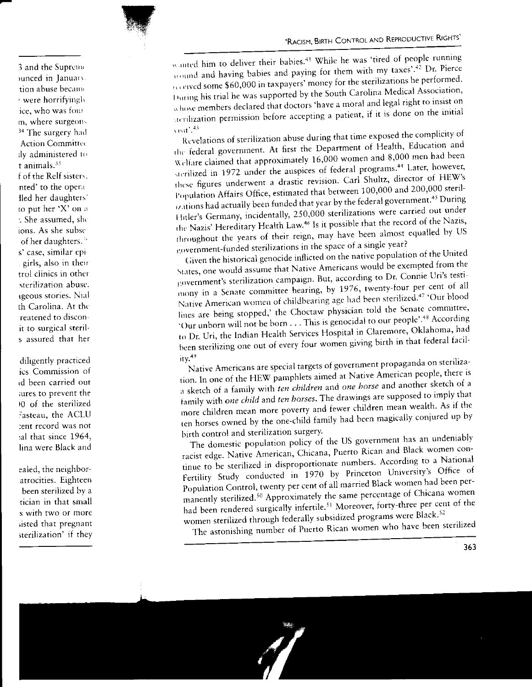wanted him to deliver their babies.<sup>41</sup> While he was 'tired of people running mound and having babies and paying for them with my taxes' 42 Dr. Pierce to cived some \$60,000 in taxpayers' money for the sterilizations he performed. During his trial he was supported by the South Carolina Medical Association, whose members declared that doctors 'have a moral and legal right to insist on sterilization permission before accepting a patient, if it is done on the initial  $v<sub>1</sub>$ sit $^{+43}$ 

Revelations of sterilization abuse during that time exposed the complicity of the federal government. At first the Department of Health, Education and Welfare claimed that approximately 16,000 women and 8,000 men had been sterilized in 1972 under the auspices of federal programs.<sup>44</sup> Later, however, these figures underwent a drastic revision. Carl Shultz, director of HEW's Population Affairs Office, estimated that between 100,000 and 200,000 steril- $\nu$  ations had actually been funded that year by the federal government.<sup>45</sup> During Hitler's Germany, incidentally, 250,000 sterilizations were carried out under the Nazis' Hereditary Health Law.<sup>46</sup> Is it possible that the record of the Nazis, throughout the years of their reign, may have been almost equalled by US government-funded sterilizations in the space of a single year?

Given the historical genocide inflicted on the native population of the United States, one would assume that Native Americans would be exempted from the government's sterilization campaign. But, according to Dr. Connie Uri's testimony in a Senate committee hearing, by 1976, twenty-four per cent of all Native American women of childbearing age had been sterilized.<sup>47</sup> 'Our blood lines are being stopped,' the Choctaw physician told the Senate committee, 'Our unborn will not be born . . . This is genocidal to our people'.<sup>48</sup> According to Dr. Uri, the Indian Health Services Hospital in Claremore, Oklahoma, had been sterilizing one out of every four women giving birth in that federal facil $ity<sup>49</sup>$ 

Native Americans are special targets of government propaganda on sterilization. In one of the HEW pamphlets aimed at Native American people, there is a sketch of a family with ten children and one horse and another sketch of a family with one child and ten horses. The drawings are supposed to imply that more children mean more poverty and fewer children mean wealth. As if the ten horses owned by the one-child family had been magically conjured up by birth control and sterilization surgery.

The domestic population policy of the US government has an undeniably racist edge. Native American, Chicana, Puerto Rican and Black women continue to be sterilized in disproportionate numbers. According to a National Fertility Study conducted in 1970 by Princeton University's Office of Population Control, twenty per cent of all married Black women had been permanently sterilized.<sup>50</sup> Approximately the same percentage of Chicana women had been rendered surgically infertile.<sup>51</sup> Moreover, forty-three per cent of the women sterilized through federally subsidized programs were Black.<sup>52</sup>

The astonishing number of Puerto Rican women who have been sterilized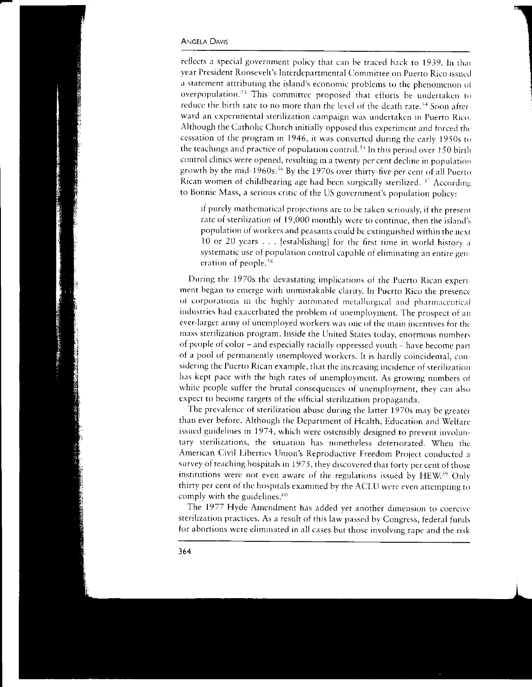reflects a special government policy that can be traced back to 1939. In that year President Roosevelt's Interdepartmental Committee on Puerto Rico issued a statement attributing the island's economic problems to the phenomenon of overpopulation.<sup>53</sup> This committee proposed that efforts be undertaken to reduce the birth rate to no more than the level of the death rate.<sup>54</sup> Soon afterward an experimental sterilization campaign was undertaken in Puerto Rico. Although the Catholic Church initially opposed this experiment and forced the cessation of the program in 1946, it was converted during the early 1950s to the teachings and practice of population control.<sup>55</sup> In this period over 150 birth control clinics were opened, resulting in a twenty per cent decline in population growth by the mid-1960s.<sup>56</sup> By the 1970s over thirty-five per cent of all Puerto Rican women of childbearing age had been surgically sterilized.<sup>57</sup> According to Bonnie Mass, a serious critic of the US government's population policy:

if purely mathematical projections are to be taken seriously, if the present rate of sterilization of 19,000 monthly were to continue, then the island's population of workers and peasants could be extinguished within the next 10 or 20 years . . . [establishing] for the first time in world history a systematic use of population control capable of eliminating an entire generation of people.<sup>58</sup>

During the 1970s the devastating implications of the Puerto Rican experiment began to emerge with unmistakable clarity. In Puerto Rico the presence of corporations in the highly automated metallurgical and pharmaceutical industries had exacerbated the problem of unemployment. The prospect of an ever-larger army of unemployed workers was one of the main incentives for the mass sterilization program. Inside the United States today, enormous numbers of people of color - and especially racially oppressed youth - have become part of a pool of permanently unemployed workers. It is hardly coincidental, considering the Puerto Rican example, that the increasing incidence of sterilization has kept pace with the high rates of unemployment. As growing numbers of white people suffer the brutal consequences of unemployment, they can also expect to become targets of the official sterilization propaganda.

The prevalence of sterilization abuse during the latter 1970s may be greater than ever before. Although the Department of Health, Education and Welfare issued guidelines in 1974, which were ostensibly designed to prevent involuntary sterilizations, the situation has nonetheless deteriorated. When the American Civil Liberties Union's Reproductive Freedom Project conducted a survey of teaching hospitals in 1975, they discovered that forty per cent of those institutions were not even aware of the regulations issued by HEW.<sup>59</sup> Only thirty per cent of the hospitals examined by the ACLU were even attempting to comply with the guidelines.<sup>60</sup>

The 1977 Hyde Amendment has added yet another dimension to coercive sterilization practices. As a result of this law passed by Congress, federal funds for abortions were eliminated in all cases but those involving rape and the risk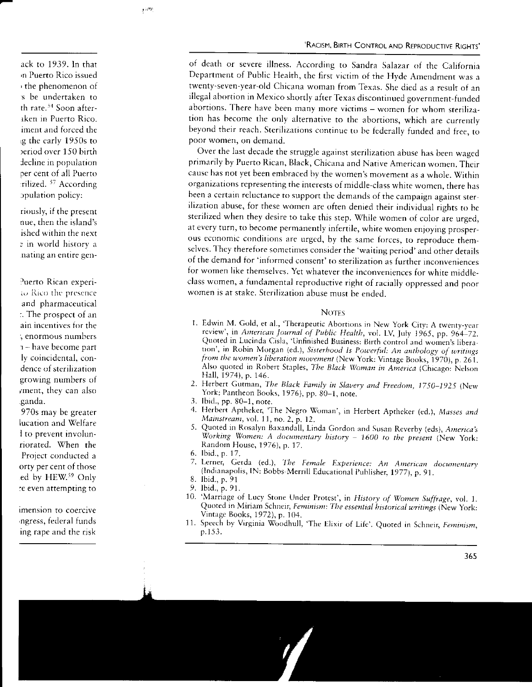of death or severe illness. According to Sandra Salazar of the California Department of Public Health, the first victim of the Hyde Amendment was a twenty-seven-year-old Chicana woman from Texas. She died as a result of an illegal abortion in Mexico shortly after Texas discontinued government-funded abortions. There have been many more victims - women for whom sterilization has become the only alternative to the abortions, which are currently beyond their reach. Sterilizations continue to be federally funded and free, to poor women, on demand.

Over the last decade the struggle against sterilization abuse has been waged primarily by Puerto Rican, Black, Chicana and Native American women. Their cause has not yet been embraced by the women's movement as a whole. Within organizations representing the interests of middle-class white women, there has been a certain reluctance to support the demands of the campaign against sterilization abuse, for these women are often denied their individual rights to be sterilized when they desire to take this step. While women of color are urged, at every turn, to become permanently infertile, white women enjoying prosperous economic conditions are urged, by the same forces, to reproduce themselves. They therefore sometimes consider the 'waiting period' and other details of the demand for 'informed consent' to sterilization as further inconveniences for women like themselves. Yet whatever the inconveniences for white middleclass women, a fundamental reproductive right of racially oppressed and poor women is at stake. Sterilization abuse must be ended.

## **NOTES**

- 1. Edwin M. Gold, et al., 'Therapeutic Abortions in New York City: A twenty-year review', in American Journal of Public Health, vol. LV, July 1965, pp. 964-72. Quoted in Lucinda Cisla, 'Unfinished Business: Birth control and women's liberation', in Robin Morgan (ed.), Sisterhood Is Powerful: An anthology of writings from the women's liberation movement (New York: Vintage Books, 1970), p. 261. Also quoted in Robert Staples, The Black Woman in America (Chicago: Nelson Hall, 1974), p. 146.
- 2. Herbert Gutman, The Black Family in Slavery and Freedom, 1750-1925 (New York: Pantheon Books, 1976), pp. 80-1, note.
- 3. Ibid., pp. 80-1, note.
- 4. Herbert Aptheker, 'The Negro Woman', in Herbert Aptheker (ed.), Masses and Mainstream, vol. 11, no. 2, p. 12.
- 5. Quoted in Rosalyn Baxandall, Linda Gordon and Susan Reverby (eds), America's Working Women: A documentary history - 1600 to the present (New York: Random House, 1976), p. 17.
- 6. Ibid., p. 17.
- 7. Lerner, Gerda (ed.), The Female Experience: An American documentary (Indianapolis, IN: Bobbs-Merrill Educational Publisher, 1977), p. 91.
- 8. Ibid., p. 91
- 9. Ibid., p. 91.
- 10. 'Marriage of Lucy Stone Under Protest', in History of Women Suffrage, vol. 1. Quoted in Miriam Schneir, Feminism: The essential historical writings (New York: Vintage Books, 1972), p. 104.
- 11. Speech by Virginia Woodhull, 'The Elixir of Life'. Quoted in Schneir, Feminism, p.153.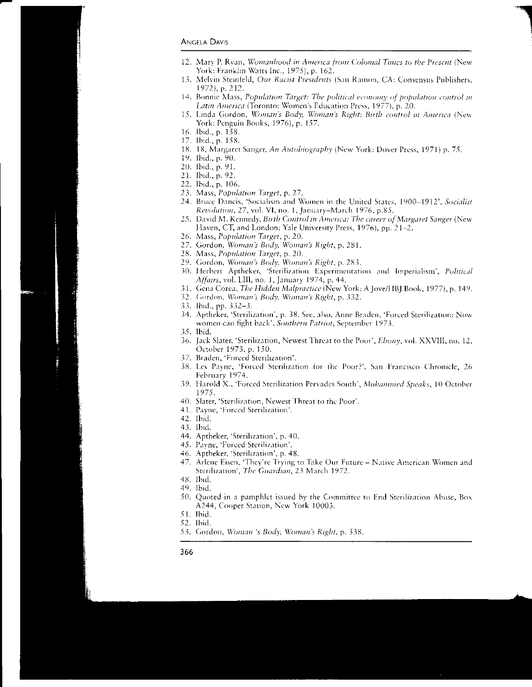- 12. Mary P. Ryan, *Womanhood in America from Colonial Times to the Present* (New York: Franklin Watts Inc., 1975), p. 162.
- 13. Melvin Steinfeld, Our Racist Presidents (San Ramon, CA: Consensus Publishers, 1972), p. 212.
- 14. Bonnie Mass, Population Target: The political economy of population control in Latin America (Toronto: Women's Education Press, 1977), p. 20.
- 15. Linda Gordon, *Woman's Body, Woman's Right: Birth control in America* (New York: Penguin Books, 1976), p. 157.
- 16. Ibid., p. 158.
- 17. Ibid., p. 158.
- 18. 18, Margaret Sanger, An Autobiography (New York: Dover Press, 1971) p. 75.
- 19. Ibid., p. 90.
- 20. Ibid., p. 91.
- 21. Ibid., p. 92.
- 22. Ibid., p. 106.
- 23. Mass, Population Target, p. 27.
- 24. Bruce Dancis, 'Socialism and Women in the United States, 1900–1912', Socialist Revolution, 27, vol. VI, no. 1, January–March 1976, p.85.
- 25. David M. Kennedy, Birth Control in America: The career of Margaret Sanger (New Haven, CT, and London: Yale University Press, 1976), pp. 21–2.
- 26. Mass, Population Target, p. 20.
- 27. Gordon, Woman's Body, Woman's Right, p. 281.
- 28. Mass, Population Target, p. 20.
- 29. Gordon, Woman's Body, Woman's Right, p. 283.
- 30. Herbert Aptheker, 'Sterilization Experimentation and Imperialism', Political *Affairs*, vol. LIII, no. 1, January 1974, p. 44.
- 31. Gena Corea, The Hidden Malpractice (New York: A Jove/HBJ Book, 1977), p. 149.
- 32. Gordon, Woman's Body, Woman's Right, p. 332.
- 33. Ibid., pp. 332–3.
- 34. Aptheker, 'Sterilization', p. 38. See, also, Anne Braden, 'Forced Sterilization: Now women can fight back', Southern Patriot, September 1973.
- 35. Ibid.
- 36. Jack Slater, 'Sterilization, Newest Threat to the Poor', Ebony, vol. XXVIII, no. 12, October 1973, p. 150.
- 37. Braden, 'Forced Sterilization'.
- 38. Les Payne, 'Forced Sterilization for the Poor?', San Francisco Chronicle, 26 February 1974.
- 39. Harold X., 'Forced Sterilization Pervades South', Muhanmed Speaks, 10 October 1975.
- 40. Slater, 'Sterilization, Newest Threat to the Poor'.
- 41. Payne, 'Forced Sterilization'.
- 42. Ibid.
- 43. Ibid.
- 44. Aptheker, 'Sterilization', p. 40.
- 45. Payne, 'Forced Sterilization'.
- 46. Aptheker, 'Sterilization', p. 48.
- 47. Arlene Eisen, 'They're Trying to Take Our Future Native American Women and Sterilization', The Guardian, 23 March 1972.
- 48. Ibid.
- 49. Ibid.
- 50. Quoted in a pamphlet issued by the Committee to End Sterilization Abuse, Box A244, Cooper Station, New York 10003.
- 51. Ibid.
- 52. Ibid.
- 53. Gordon, Woman 's Body, Woman's Right, p. 338.